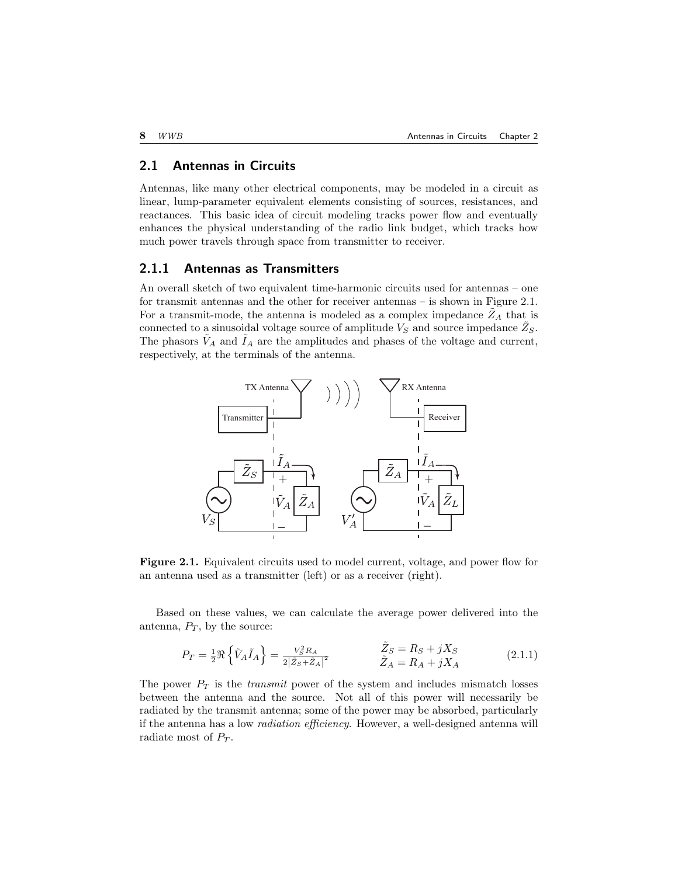## 2.1 Antennas in Circuits

Antennas, like many other electrical components, may be modeled in a circuit as linear, lump-parameter equivalent elements consisting of sources, resistances, and reactances. This basic idea of circuit modeling tracks power flow and eventually enhances the physical understanding of the radio link budget, which tracks how much power travels through space from transmitter to receiver.

## 2.1.1 Antennas as Transmitters

An overall sketch of two equivalent time-harmonic circuits used for antennas – one for transmit antennas and the other for receiver antennas – is shown in Figure 2.1. For a transmit-mode, the antenna is modeled as a complex impedance  $Z_A$  that is connected to a sinusoidal voltage source of amplitude  $V_S$  and source impedance  $\tilde{Z}_S$ . The phasors  $V_A$  and  $I_A$  are the amplitudes and phases of the voltage and current, respectively, at the terminals of the antenna.



Figure 2.1. Equivalent circuits used to model current, voltage, and power flow for an antenna used as a transmitter (left) or as a receiver (right).

Based on these values, we can calculate the average power delivered into the antenna,  $P_T$ , by the source:

$$
P_T = \frac{1}{2} \Re \left\{ \tilde{V}_A \tilde{I}_A \right\} = \frac{V_S^2 R_A}{2 \left| \tilde{Z}_S + \tilde{Z}_A \right|^2} \qquad \qquad \begin{aligned} \tilde{Z}_S &= R_S + jX_S \\ \tilde{Z}_A &= R_A + jX_A \end{aligned} \tag{2.1.1}
$$

The power  $P_T$  is the *transmit* power of the system and includes mismatch losses between the antenna and the source. Not all of this power will necessarily be radiated by the transmit antenna; some of the power may be absorbed, particularly if the antenna has a low radiation efficiency. However, a well-designed antenna will radiate most of  $P_T$ .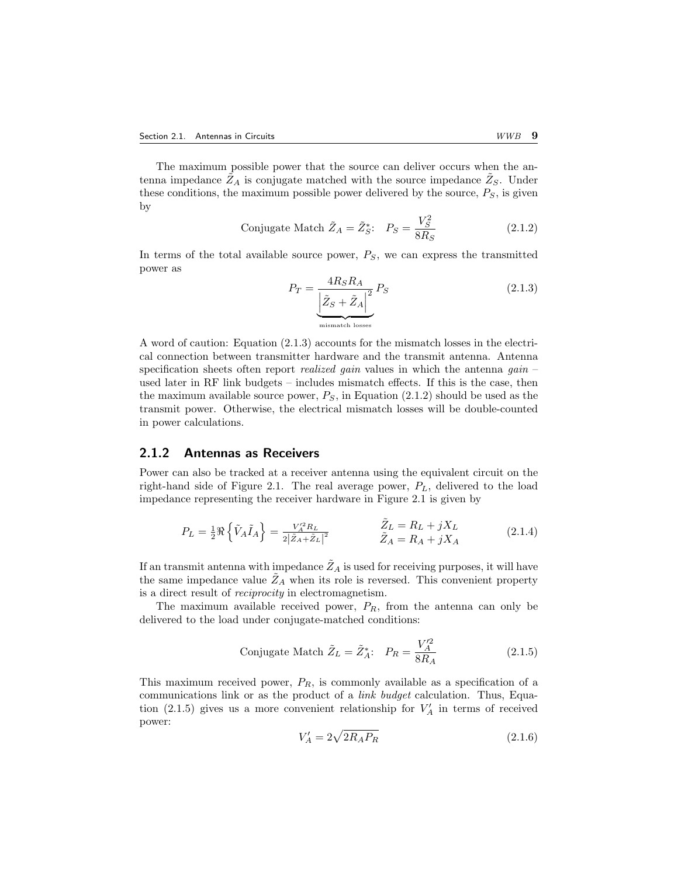The maximum possible power that the source can deliver occurs when the antenna impedance  $\tilde{Z}_A$  is conjugate matched with the source impedance  $\tilde{Z}_S$ . Under these conditions, the maximum possible power delivered by the source,  $P_S$ , is given by

Conjugate Match 
$$
\tilde{Z}_A = \tilde{Z}_S^*
$$
:  $P_S = \frac{V_S^2}{8R_S}$  (2.1.2)

In terms of the total available source power,  $P<sub>S</sub>$ , we can express the transmitted power as

$$
P_T = \underbrace{\frac{4R_S R_A}{\left|\tilde{Z}_S + \tilde{Z}_A\right|^2} P_S}_{\text{mismatch losses}} \tag{2.1.3}
$$

A word of caution: Equation (2.1.3) accounts for the mismatch losses in the electrical connection between transmitter hardware and the transmit antenna. Antenna specification sheets often report *realized gain* values in which the antenna *gain* – used later in RF link budgets – includes mismatch effects. If this is the case, then the maximum available source power,  $P<sub>S</sub>$ , in Equation (2.1.2) should be used as the transmit power. Otherwise, the electrical mismatch losses will be double-counted in power calculations.

## 2.1.2 Antennas as Receivers

Power can also be tracked at a receiver antenna using the equivalent circuit on the right-hand side of Figure 2.1. The real average power,  $P_L$ , delivered to the load impedance representing the receiver hardware in Figure 2.1 is given by

$$
P_L = \frac{1}{2} \Re \left\{ \tilde{V}_A \tilde{I}_A \right\} = \frac{V_A'^2 R_L}{2|\tilde{Z}_A + \tilde{Z}_L|^2} \qquad \qquad \begin{aligned} \tilde{Z}_L &= R_L + jX_L \\ \tilde{Z}_A &= R_A + jX_A \end{aligned} \tag{2.1.4}
$$

If an transmit antenna with impedance  $\tilde{Z}_A$  is used for receiving purposes, it will have the same impedance value  $\tilde{Z}_A$  when its role is reversed. This convenient property is a direct result of reciprocity in electromagnetism.

The maximum available received power,  $P_R$ , from the antenna can only be delivered to the load under conjugate-matched conditions:

Conjugate Match 
$$
\tilde{Z}_L = \tilde{Z}_A^*
$$
:  $P_R = \frac{V_A'^2}{8R_A}$  (2.1.5)

This maximum received power,  $P_R$ , is commonly available as a specification of a communications link or as the product of a link budget calculation. Thus, Equation (2.1.5) gives us a more convenient relationship for  $V'_A$  in terms of received power:

$$
V'_A = 2\sqrt{2R_AP_R}
$$
\n
$$
(2.1.6)
$$